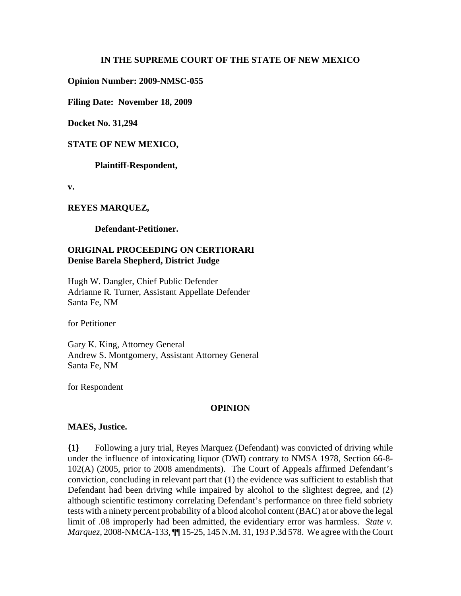## **IN THE SUPREME COURT OF THE STATE OF NEW MEXICO**

**Opinion Number: 2009-NMSC-055**

**Filing Date: November 18, 2009** 

**Docket No. 31,294**

#### **STATE OF NEW MEXICO,**

**Plaintiff-Respondent,**

**v.**

#### **REYES MARQUEZ,**

**Defendant-Petitioner.**

# **ORIGINAL PROCEEDING ON CERTIORARI Denise Barela Shepherd, District Judge**

Hugh W. Dangler, Chief Public Defender Adrianne R. Turner, Assistant Appellate Defender Santa Fe, NM

for Petitioner

Gary K. King, Attorney General Andrew S. Montgomery, Assistant Attorney General Santa Fe, NM

for Respondent

## **OPINION**

#### **MAES, Justice.**

**{1}** Following a jury trial, Reyes Marquez (Defendant) was convicted of driving while under the influence of intoxicating liquor (DWI) contrary to NMSA 1978, Section 66-8- 102(A) (2005, prior to 2008 amendments). The Court of Appeals affirmed Defendant's conviction, concluding in relevant part that (1) the evidence was sufficient to establish that Defendant had been driving while impaired by alcohol to the slightest degree, and (2) although scientific testimony correlating Defendant's performance on three field sobriety tests with a ninety percent probability of a blood alcohol content (BAC) at or above the legal limit of .08 improperly had been admitted, the evidentiary error was harmless. *State v. Marquez*, 2008-NMCA-133, **[10]** 15-25, 145 N.M. 31, 193 P.3d 578. We agree with the Court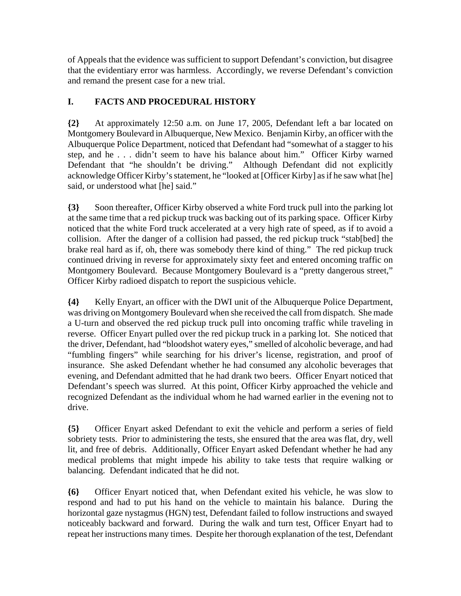of Appeals that the evidence was sufficient to support Defendant's conviction, but disagree that the evidentiary error was harmless. Accordingly, we reverse Defendant's conviction and remand the present case for a new trial.

# **I. FACTS AND PROCEDURAL HISTORY**

**{2}** At approximately 12:50 a.m. on June 17, 2005, Defendant left a bar located on Montgomery Boulevard in Albuquerque, New Mexico. Benjamin Kirby, an officer with the Albuquerque Police Department, noticed that Defendant had "somewhat of a stagger to his step, and he . . . didn't seem to have his balance about him." Officer Kirby warned Defendant that "he shouldn't be driving." Although Defendant did not explicitly acknowledge Officer Kirby's statement, he "looked at [Officer Kirby] as if he saw what [he] said, or understood what [he] said."

**{3}** Soon thereafter, Officer Kirby observed a white Ford truck pull into the parking lot at the same time that a red pickup truck was backing out of its parking space. Officer Kirby noticed that the white Ford truck accelerated at a very high rate of speed, as if to avoid a collision. After the danger of a collision had passed, the red pickup truck "stab[bed] the brake real hard as if, oh, there was somebody there kind of thing." The red pickup truck continued driving in reverse for approximately sixty feet and entered oncoming traffic on Montgomery Boulevard. Because Montgomery Boulevard is a "pretty dangerous street," Officer Kirby radioed dispatch to report the suspicious vehicle.

**{4}** Kelly Enyart, an officer with the DWI unit of the Albuquerque Police Department, was driving on Montgomery Boulevard when she received the call from dispatch. She made a U-turn and observed the red pickup truck pull into oncoming traffic while traveling in reverse. Officer Enyart pulled over the red pickup truck in a parking lot. She noticed that the driver, Defendant, had "bloodshot watery eyes," smelled of alcoholic beverage, and had "fumbling fingers" while searching for his driver's license, registration, and proof of insurance. She asked Defendant whether he had consumed any alcoholic beverages that evening, and Defendant admitted that he had drank two beers. Officer Enyart noticed that Defendant's speech was slurred. At this point, Officer Kirby approached the vehicle and recognized Defendant as the individual whom he had warned earlier in the evening not to drive.

**{5}** Officer Enyart asked Defendant to exit the vehicle and perform a series of field sobriety tests. Prior to administering the tests, she ensured that the area was flat, dry, well lit, and free of debris. Additionally, Officer Enyart asked Defendant whether he had any medical problems that might impede his ability to take tests that require walking or balancing. Defendant indicated that he did not.

**{6}** Officer Enyart noticed that, when Defendant exited his vehicle, he was slow to respond and had to put his hand on the vehicle to maintain his balance. During the horizontal gaze nystagmus (HGN) test, Defendant failed to follow instructions and swayed noticeably backward and forward. During the walk and turn test, Officer Enyart had to repeat her instructions many times. Despite her thorough explanation of the test, Defendant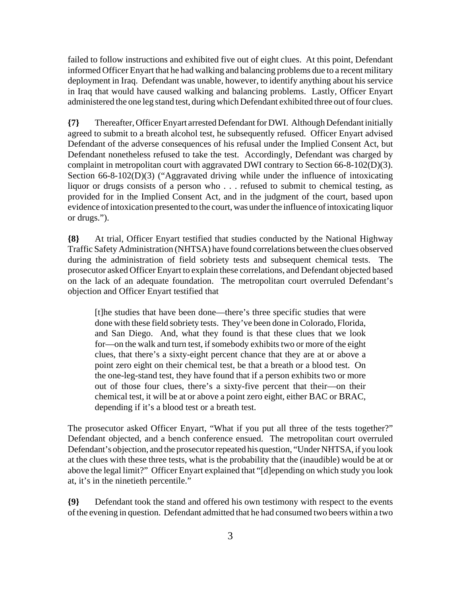failed to follow instructions and exhibited five out of eight clues. At this point, Defendant informed Officer Enyart that he had walking and balancing problems due to a recent military deployment in Iraq. Defendant was unable, however, to identify anything about his service in Iraq that would have caused walking and balancing problems. Lastly, Officer Enyart administered the one leg stand test, during which Defendant exhibited three out of four clues.

**{7}** Thereafter, Officer Enyart arrested Defendant for DWI. Although Defendant initially agreed to submit to a breath alcohol test, he subsequently refused. Officer Enyart advised Defendant of the adverse consequences of his refusal under the Implied Consent Act, but Defendant nonetheless refused to take the test. Accordingly, Defendant was charged by complaint in metropolitan court with aggravated DWI contrary to Section 66-8-102(D)(3). Section 66-8-102(D)(3) ("Aggravated driving while under the influence of intoxicating liquor or drugs consists of a person who . . . refused to submit to chemical testing, as provided for in the Implied Consent Act, and in the judgment of the court, based upon evidence of intoxication presented to the court, was under the influence of intoxicating liquor or drugs.").

**{8}** At trial, Officer Enyart testified that studies conducted by the National Highway Traffic Safety Administration (NHTSA) have found correlations between the clues observed during the administration of field sobriety tests and subsequent chemical tests. The prosecutor asked Officer Enyart to explain these correlations, and Defendant objected based on the lack of an adequate foundation. The metropolitan court overruled Defendant's objection and Officer Enyart testified that

[t]he studies that have been done—there's three specific studies that were done with these field sobriety tests. They've been done in Colorado, Florida, and San Diego. And, what they found is that these clues that we look for—on the walk and turn test, if somebody exhibits two or more of the eight clues, that there's a sixty-eight percent chance that they are at or above a point zero eight on their chemical test, be that a breath or a blood test. On the one-leg-stand test, they have found that if a person exhibits two or more out of those four clues, there's a sixty-five percent that their—on their chemical test, it will be at or above a point zero eight, either BAC or BRAC, depending if it's a blood test or a breath test.

The prosecutor asked Officer Enyart, "What if you put all three of the tests together?" Defendant objected, and a bench conference ensued. The metropolitan court overruled Defendant's objection, and the prosecutor repeated his question, "Under NHTSA, if you look at the clues with these three tests, what is the probability that the (inaudible) would be at or above the legal limit?" Officer Enyart explained that "[d]epending on which study you look at, it's in the ninetieth percentile."

**{9}** Defendant took the stand and offered his own testimony with respect to the events of the evening in question. Defendant admitted that he had consumed two beers within a two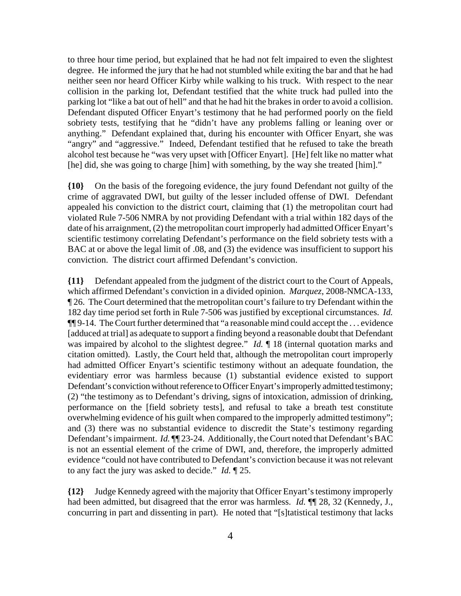to three hour time period, but explained that he had not felt impaired to even the slightest degree. He informed the jury that he had not stumbled while exiting the bar and that he had neither seen nor heard Officer Kirby while walking to his truck. With respect to the near collision in the parking lot, Defendant testified that the white truck had pulled into the parking lot "like a bat out of hell" and that he had hit the brakes in order to avoid a collision. Defendant disputed Officer Enyart's testimony that he had performed poorly on the field sobriety tests, testifying that he "didn't have any problems falling or leaning over or anything." Defendant explained that, during his encounter with Officer Enyart, she was "angry" and "aggressive." Indeed, Defendant testified that he refused to take the breath alcohol test because he "was very upset with [Officer Enyart]. [He] felt like no matter what [he] did, she was going to charge [him] with something, by the way she treated [him]."

**{10}** On the basis of the foregoing evidence, the jury found Defendant not guilty of the crime of aggravated DWI, but guilty of the lesser included offense of DWI. Defendant appealed his conviction to the district court, claiming that (1) the metropolitan court had violated Rule 7-506 NMRA by not providing Defendant with a trial within 182 days of the date of his arraignment, (2) the metropolitan court improperly had admitted Officer Enyart's scientific testimony correlating Defendant's performance on the field sobriety tests with a BAC at or above the legal limit of .08, and (3) the evidence was insufficient to support his conviction. The district court affirmed Defendant's conviction.

**{11}** Defendant appealed from the judgment of the district court to the Court of Appeals, which affirmed Defendant's conviction in a divided opinion. *Marquez*, 2008-NMCA-133, ¶ 26. The Court determined that the metropolitan court's failure to try Defendant within the 182 day time period set forth in Rule 7-506 was justified by exceptional circumstances. *Id.* ¶¶ 9-14. The Court further determined that "a reasonable mind could accept the . . . evidence [adduced at trial] as adequate to support a finding beyond a reasonable doubt that Defendant was impaired by alcohol to the slightest degree." *Id.* ¶ 18 (internal quotation marks and citation omitted). Lastly, the Court held that, although the metropolitan court improperly had admitted Officer Enyart's scientific testimony without an adequate foundation, the evidentiary error was harmless because (1) substantial evidence existed to support Defendant's conviction without reference to Officer Enyart's improperly admitted testimony; (2) "the testimony as to Defendant's driving, signs of intoxication, admission of drinking, performance on the [field sobriety tests], and refusal to take a breath test constitute overwhelming evidence of his guilt when compared to the improperly admitted testimony"; and (3) there was no substantial evidence to discredit the State's testimony regarding Defendant's impairment. *Id.* **[14.41]** 23-24. Additionally, the Court noted that Defendant's BAC is not an essential element of the crime of DWI, and, therefore, the improperly admitted evidence "could not have contributed to Defendant's conviction because it was not relevant to any fact the jury was asked to decide." *Id.* ¶ 25.

**{12}** Judge Kennedy agreed with the majority that Officer Enyart's testimony improperly had been admitted, but disagreed that the error was harmless. *Id.* ¶¶ 28, 32 (Kennedy, J., concurring in part and dissenting in part). He noted that "[s]tatistical testimony that lacks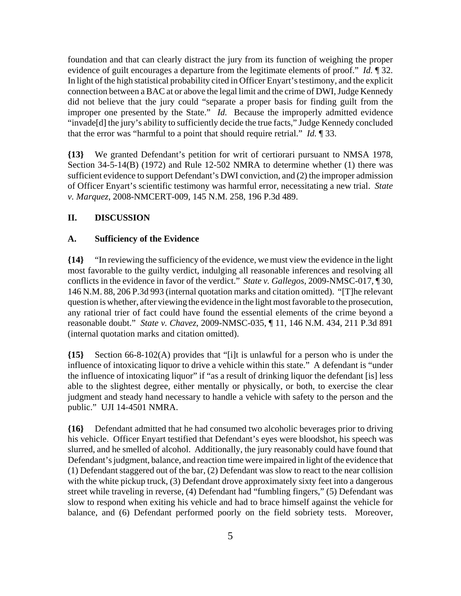foundation and that can clearly distract the jury from its function of weighing the proper evidence of guilt encourages a departure from the legitimate elements of proof." *Id.* ¶ 32. In light of the high statistical probability cited in Officer Enyart's testimony, and the explicit connection between a BAC at or above the legal limit and the crime of DWI, Judge Kennedy did not believe that the jury could "separate a proper basis for finding guilt from the improper one presented by the State." *Id.* Because the improperly admitted evidence "invade[d] the jury's ability to sufficiently decide the true facts," Judge Kennedy concluded that the error was "harmful to a point that should require retrial." *Id.* ¶ 33.

**{13}** We granted Defendant's petition for writ of certiorari pursuant to NMSA 1978, Section 34-5-14(B) (1972) and Rule 12-502 NMRA to determine whether (1) there was sufficient evidence to support Defendant's DWI conviction, and (2) the improper admission of Officer Enyart's scientific testimony was harmful error, necessitating a new trial. *State v. Marquez*, 2008-NMCERT-009, 145 N.M. 258, 196 P.3d 489.

## **II. DISCUSSION**

#### **A. Sufficiency of the Evidence**

**{14}** "In reviewing the sufficiency of the evidence, we must view the evidence in the light most favorable to the guilty verdict, indulging all reasonable inferences and resolving all conflicts in the evidence in favor of the verdict." *State v. Gallegos*, 2009-NMSC-017, ¶ 30, 146 N.M. 88, 206 P.3d 993 (internal quotation marks and citation omitted). "[T]he relevant question is whether, after viewing the evidence in the light most favorable to the prosecution, any rational trier of fact could have found the essential elements of the crime beyond a reasonable doubt." *State v. Chavez*, 2009-NMSC-035, ¶ 11, 146 N.M. 434, 211 P.3d 891 (internal quotation marks and citation omitted).

**{15}** Section 66-8-102(A) provides that "[i]t is unlawful for a person who is under the influence of intoxicating liquor to drive a vehicle within this state." A defendant is "under the influence of intoxicating liquor" if "as a result of drinking liquor the defendant [is] less able to the slightest degree, either mentally or physically, or both, to exercise the clear judgment and steady hand necessary to handle a vehicle with safety to the person and the public." UJI 14-4501 NMRA.

**{16}** Defendant admitted that he had consumed two alcoholic beverages prior to driving his vehicle. Officer Enyart testified that Defendant's eyes were bloodshot, his speech was slurred, and he smelled of alcohol. Additionally, the jury reasonably could have found that Defendant's judgment, balance, and reaction time were impaired in light of the evidence that (1) Defendant staggered out of the bar, (2) Defendant was slow to react to the near collision with the white pickup truck, (3) Defendant drove approximately sixty feet into a dangerous street while traveling in reverse, (4) Defendant had "fumbling fingers," (5) Defendant was slow to respond when exiting his vehicle and had to brace himself against the vehicle for balance, and (6) Defendant performed poorly on the field sobriety tests. Moreover,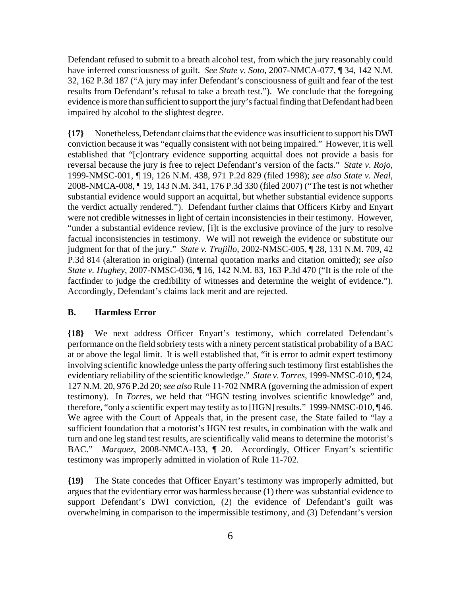Defendant refused to submit to a breath alcohol test, from which the jury reasonably could have inferred consciousness of guilt. *See State v. Soto*, 2007-NMCA-077, ¶ 34, 142 N.M. 32, 162 P.3d 187 ("A jury may infer Defendant's consciousness of guilt and fear of the test results from Defendant's refusal to take a breath test."). We conclude that the foregoing evidence is more than sufficient to support the jury's factual finding that Defendant had been impaired by alcohol to the slightest degree.

**{17}** Nonetheless, Defendant claims that the evidence was insufficient to support his DWI conviction because it was "equally consistent with not being impaired." However, it is well established that "[c]ontrary evidence supporting acquittal does not provide a basis for reversal because the jury is free to reject Defendant's version of the facts." *State v. Rojo*, 1999-NMSC-001, ¶ 19, 126 N.M. 438, 971 P.2d 829 (filed 1998); *see also State v. Neal*, 2008-NMCA-008, ¶ 19, 143 N.M. 341, 176 P.3d 330 (filed 2007) ("The test is not whether substantial evidence would support an acquittal, but whether substantial evidence supports the verdict actually rendered."). Defendant further claims that Officers Kirby and Enyart were not credible witnesses in light of certain inconsistencies in their testimony. However, "under a substantial evidence review, [i]t is the exclusive province of the jury to resolve factual inconsistencies in testimony. We will not reweigh the evidence or substitute our judgment for that of the jury." *State v. Trujillo*, 2002-NMSC-005, ¶ 28, 131 N.M. 709, 42 P.3d 814 (alteration in original) (internal quotation marks and citation omitted); *see also State v. Hughey*, 2007-NMSC-036, ¶ 16, 142 N.M. 83, 163 P.3d 470 ("It is the role of the factfinder to judge the credibility of witnesses and determine the weight of evidence."). Accordingly, Defendant's claims lack merit and are rejected.

#### **B. Harmless Error**

**{18}** We next address Officer Enyart's testimony, which correlated Defendant's performance on the field sobriety tests with a ninety percent statistical probability of a BAC at or above the legal limit. It is well established that, "it is error to admit expert testimony involving scientific knowledge unless the party offering such testimony first establishes the evidentiary reliability of the scientific knowledge." *State v. Torres*, 1999-NMSC-010, ¶ 24, 127 N.M. 20, 976 P.2d 20; *see also* Rule 11-702 NMRA (governing the admission of expert testimony). In *Torres*, we held that "HGN testing involves scientific knowledge" and, therefore, "only a scientific expert may testify as to [HGN] results." 1999-NMSC-010, ¶ 46. We agree with the Court of Appeals that, in the present case, the State failed to "lay a sufficient foundation that a motorist's HGN test results, in combination with the walk and turn and one leg stand test results, are scientifically valid means to determine the motorist's BAC." *Marquez*, 2008-NMCA-133, ¶ 20. Accordingly, Officer Enyart's scientific testimony was improperly admitted in violation of Rule 11-702.

**{19}** The State concedes that Officer Enyart's testimony was improperly admitted, but argues that the evidentiary error was harmless because (1) there was substantial evidence to support Defendant's DWI conviction, (2) the evidence of Defendant's guilt was overwhelming in comparison to the impermissible testimony, and (3) Defendant's version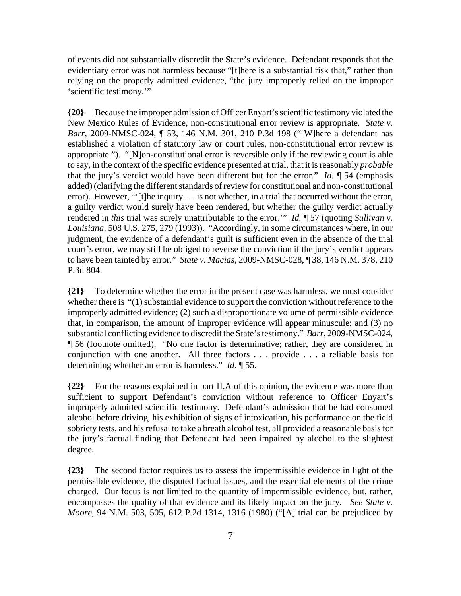of events did not substantially discredit the State's evidence. Defendant responds that the evidentiary error was not harmless because "[t]here is a substantial risk that," rather than relying on the properly admitted evidence, "the jury improperly relied on the improper 'scientific testimony.'"

**{20}** Because the improper admission of Officer Enyart's scientific testimony violated the New Mexico Rules of Evidence, non-constitutional error review is appropriate. *State v. Barr*, 2009-NMSC-024, ¶ 53, 146 N.M. 301, 210 P.3d 198 ("[W]here a defendant has established a violation of statutory law or court rules, non-constitutional error review is appropriate."). "[N]on-constitutional error is reversible only if the reviewing court is able to say, in the context of the specific evidence presented at trial, that it is reasonably *probable* that the jury's verdict would have been different but for the error." *Id.* ¶ 54 (emphasis added) (clarifying the different standards of review for constitutional and non-constitutional error). However, "'[t]he inquiry . . . is not whether, in a trial that occurred without the error, a guilty verdict would surely have been rendered, but whether the guilty verdict actually rendered in *this* trial was surely unattributable to the error.'" *Id.* ¶ 57 (quoting *Sullivan v. Louisiana,* 508 U.S. 275, 279 (1993)). "Accordingly, in some circumstances where, in our judgment, the evidence of a defendant's guilt is sufficient even in the absence of the trial court's error, we may still be obliged to reverse the conviction if the jury's verdict appears to have been tainted by error." *State v. Macias*, 2009-NMSC-028, ¶ 38, 146 N.M. 378, 210 P.3d 804.

**{21}** To determine whether the error in the present case was harmless, we must consider whether there is "(1) substantial evidence to support the conviction without reference to the improperly admitted evidence; (2) such a disproportionate volume of permissible evidence that, in comparison, the amount of improper evidence will appear minuscule; and (3) no substantial conflicting evidence to discredit the State's testimony." *Barr*, 2009-NMSC-024, ¶ 56 (footnote omitted). "No one factor is determinative; rather, they are considered in conjunction with one another. All three factors . . . provide . . . a reliable basis for determining whether an error is harmless." *Id.* ¶ 55.

**{22}** For the reasons explained in part II.A of this opinion, the evidence was more than sufficient to support Defendant's conviction without reference to Officer Enyart's improperly admitted scientific testimony. Defendant's admission that he had consumed alcohol before driving, his exhibition of signs of intoxication, his performance on the field sobriety tests, and his refusal to take a breath alcohol test, all provided a reasonable basis for the jury's factual finding that Defendant had been impaired by alcohol to the slightest degree.

**{23}** The second factor requires us to assess the impermissible evidence in light of the permissible evidence, the disputed factual issues, and the essential elements of the crime charged. Our focus is not limited to the quantity of impermissible evidence, but, rather, encompasses the quality of that evidence and its likely impact on the jury. *See State v. Moore*, 94 N.M. 503, 505, 612 P.2d 1314, 1316 (1980) ("[A] trial can be prejudiced by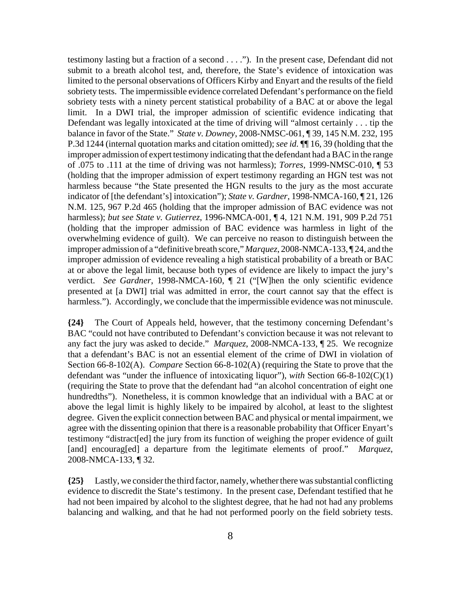testimony lasting but a fraction of a second . . . ."). In the present case, Defendant did not submit to a breath alcohol test, and, therefore, the State's evidence of intoxication was limited to the personal observations of Officers Kirby and Enyart and the results of the field sobriety tests. The impermissible evidence correlated Defendant's performance on the field sobriety tests with a ninety percent statistical probability of a BAC at or above the legal limit. In a DWI trial, the improper admission of scientific evidence indicating that Defendant was legally intoxicated at the time of driving will "almost certainly . . . tip the balance in favor of the State." *State v. Downey*, 2008-NMSC-061, ¶ 39, 145 N.M. 232, 195 P.3d 1244 (internal quotation marks and citation omitted); *see id.* ¶¶ 16, 39 (holding that the improper admission of expert testimony indicating that the defendant had a BAC in the range of .075 to .111 at the time of driving was not harmless); *Torres*, 1999-NMSC-010, ¶ 53 (holding that the improper admission of expert testimony regarding an HGN test was not harmless because "the State presented the HGN results to the jury as the most accurate indicator of [the defendant's] intoxication"); *State v. Gardner*, 1998-NMCA-160, ¶ 21, 126 N.M. 125, 967 P.2d 465 (holding that the improper admission of BAC evidence was not harmless); *but see State v. Gutierrez*, 1996-NMCA-001, ¶ 4, 121 N.M. 191, 909 P.2d 751 (holding that the improper admission of BAC evidence was harmless in light of the overwhelming evidence of guilt). We can perceive no reason to distinguish between the improper admission of a "definitive breath score," *Marquez*, 2008-NMCA-133, ¶ 24, and the improper admission of evidence revealing a high statistical probability of a breath or BAC at or above the legal limit, because both types of evidence are likely to impact the jury's verdict. *See Gardner*, 1998-NMCA-160, ¶ 21 ("[W]hen the only scientific evidence presented at [a DWI] trial was admitted in error, the court cannot say that the effect is harmless."). Accordingly, we conclude that the impermissible evidence was not minuscule.

**{24}** The Court of Appeals held, however, that the testimony concerning Defendant's BAC "could not have contributed to Defendant's conviction because it was not relevant to any fact the jury was asked to decide." *Marquez*, 2008-NMCA-133, ¶ 25. We recognize that a defendant's BAC is not an essential element of the crime of DWI in violation of Section 66-8-102(A). *Compare* Section 66-8-102(A) (requiring the State to prove that the defendant was "under the influence of intoxicating liquor"), *with* Section 66-8-102(C)(1) (requiring the State to prove that the defendant had "an alcohol concentration of eight one hundredths"). Nonetheless, it is common knowledge that an individual with a BAC at or above the legal limit is highly likely to be impaired by alcohol, at least to the slightest degree. Given the explicit connection between BAC and physical or mental impairment, we agree with the dissenting opinion that there is a reasonable probability that Officer Enyart's testimony "distract[ed] the jury from its function of weighing the proper evidence of guilt [and] encourag[ed] a departure from the legitimate elements of proof." *Marquez*, 2008-NMCA-133, ¶ 32.

**{25}** Lastly, we consider the third factor, namely, whether there was substantial conflicting evidence to discredit the State's testimony. In the present case, Defendant testified that he had not been impaired by alcohol to the slightest degree, that he had not had any problems balancing and walking, and that he had not performed poorly on the field sobriety tests.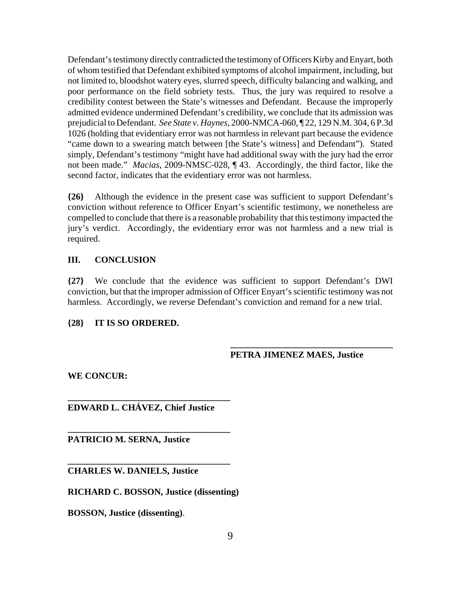Defendant's testimony directly contradicted the testimony of Officers Kirby and Enyart, both of whom testified that Defendant exhibited symptoms of alcohol impairment, including, but not limited to, bloodshot watery eyes, slurred speech, difficulty balancing and walking, and poor performance on the field sobriety tests. Thus, the jury was required to resolve a credibility contest between the State's witnesses and Defendant. Because the improperly admitted evidence undermined Defendant's credibility, we conclude that its admission was prejudicial to Defendant. *See State v. Haynes*, 2000-NMCA-060, ¶ 22, 129 N.M. 304, 6 P.3d 1026 (holding that evidentiary error was not harmless in relevant part because the evidence "came down to a swearing match between [the State's witness] and Defendant"). Stated simply, Defendant's testimony "might have had additional sway with the jury had the error not been made." *Macias*, 2009-NMSC-028, ¶ 43. Accordingly, the third factor, like the second factor, indicates that the evidentiary error was not harmless.

**{26}** Although the evidence in the present case was sufficient to support Defendant's conviction without reference to Officer Enyart's scientific testimony, we nonetheless are compelled to conclude that there is a reasonable probability that this testimony impacted the jury's verdict. Accordingly, the evidentiary error was not harmless and a new trial is required.

## **III. CONCLUSION**

**{27}** We conclude that the evidence was sufficient to support Defendant's DWI conviction, but that the improper admission of Officer Enyart's scientific testimony was not harmless. Accordingly, we reverse Defendant's conviction and remand for a new trial.

# **{28} IT IS SO ORDERED.**

## **PETRA JIMENEZ MAES, Justice**

**\_\_\_\_\_\_\_\_\_\_\_\_\_\_\_\_\_\_\_\_\_\_\_\_\_\_\_\_\_\_\_\_\_\_\_\_**

**WE CONCUR:**

**EDWARD L. CHÁVEZ, Chief Justice**

**\_\_\_\_\_\_\_\_\_\_\_\_\_\_\_\_\_\_\_\_\_\_\_\_\_\_\_\_\_\_\_\_\_\_\_\_**

**\_\_\_\_\_\_\_\_\_\_\_\_\_\_\_\_\_\_\_\_\_\_\_\_\_\_\_\_\_\_\_\_\_\_\_\_**

**\_\_\_\_\_\_\_\_\_\_\_\_\_\_\_\_\_\_\_\_\_\_\_\_\_\_\_\_\_\_\_\_\_\_\_\_**

**PATRICIO M. SERNA, Justice**

**CHARLES W. DANIELS, Justice**

**RICHARD C. BOSSON, Justice (dissenting)**

**BOSSON, Justice (dissenting)**.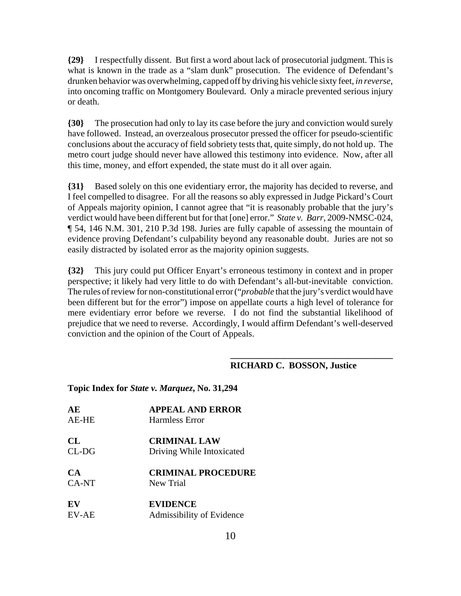**{29}** I respectfully dissent. But first a word about lack of prosecutorial judgment. This is what is known in the trade as a "slam dunk" prosecution. The evidence of Defendant's drunken behavior was overwhelming, capped off by driving his vehicle sixty feet, *in reverse*, into oncoming traffic on Montgomery Boulevard. Only a miracle prevented serious injury or death.

**{30}** The prosecution had only to lay its case before the jury and conviction would surely have followed. Instead, an overzealous prosecutor pressed the officer for pseudo-scientific conclusions about the accuracy of field sobriety tests that, quite simply, do not hold up. The metro court judge should never have allowed this testimony into evidence. Now, after all this time, money, and effort expended, the state must do it all over again.

**{31}** Based solely on this one evidentiary error, the majority has decided to reverse, and I feel compelled to disagree. For all the reasons so ably expressed in Judge Pickard's Court of Appeals majority opinion, I cannot agree that "it is reasonably probable that the jury's verdict would have been different but for that [one] error." *State v. Barr*, 2009-NMSC-024, ¶ 54, 146 N.M. 301, 210 P.3d 198. Juries are fully capable of assessing the mountain of evidence proving Defendant's culpability beyond any reasonable doubt. Juries are not so easily distracted by isolated error as the majority opinion suggests.

**{32}** This jury could put Officer Enyart's erroneous testimony in context and in proper perspective; it likely had very little to do with Defendant's all-but-inevitable conviction. The rules of review for non-constitutional error ("*probable* that the jury's verdict would have been different but for the error") impose on appellate courts a high level of tolerance for mere evidentiary error before we reverse. I do not find the substantial likelihood of prejudice that we need to reverse. Accordingly, I would affirm Defendant's well-deserved conviction and the opinion of the Court of Appeals.

## **RICHARD C. BOSSON, Justice**

**\_\_\_\_\_\_\_\_\_\_\_\_\_\_\_\_\_\_\_\_\_\_\_\_\_\_\_\_\_\_\_\_\_\_\_\_**

| AE           | <b>APPEAL AND ERROR</b>   |
|--------------|---------------------------|
| <b>AE-HE</b> | Harmless Error            |
| CL           | <b>CRIMINAL LAW</b>       |
| $CL-DG$      | Driving While Intoxicated |
| CA           | <b>CRIMINAL PROCEDURE</b> |
| CA-NT        | New Trial                 |
| EV           | <b>EVIDENCE</b>           |
| <b>EV-AE</b> | Admissibility of Evidence |

#### **Topic Index for** *State v. Marquez***, No. 31,294**